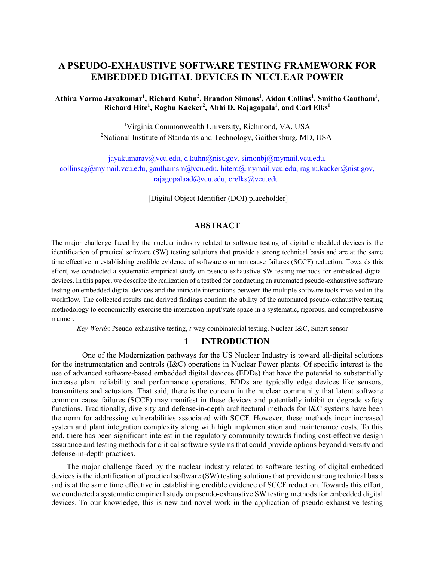# **A PSEUDO-EXHAUSTIVE SOFTWARE TESTING FRAMEWORK FOR EMBEDDED DIGITAL DEVICES IN NUCLEAR POWER**

## Athira Varma Jayakumar<sup>1</sup>, Richard Kuhn<sup>2</sup>, Brandon Simons<sup>1</sup>, Aidan Collins<sup>1</sup>, Smitha Gautham<sup>1</sup>, **Richard Hite1 , Raghu Kacker2 , Abhi D. Rajagopala1 , and Carl Elks1**

 1 Virginia Commonwealth University, Richmond, VA, USA <sup>2</sup>National Institute of Standards and Technology, Gaithersburg, MD, USA

rajagopalaad@vcu.edu, crelks@vcu.edu [jayakumarav@vcu.edu](mailto:jayakumarav@vcu.edu), [d.kuhn@nist.gov](mailto:d.kuhn@nist.gov), [simonbj@mymail.vcu.edu](mailto:simonbj@mymail.vcu.edu), [collinsag@mymail.vcu.edu,](mailto:collinsag@mymail.vcu.edu) [gauthamsm@vcu.edu,](mailto:gauthamsm@vcu.edu) [hiterd@mymail.vcu.edu](mailto:hiterd@mymail.vcu.edu), [raghu.kacker@nist.gov,](mailto:raghu.kacker@nist.gov)

[rajagopalaad@vcu.edu](mailto:rajagopalaad@vcu.edu), crelks@vcu.edu<br>[Digital Object Identifier (DOI) placeholder]

## **ABSTRACT**

 The major challenge faced by the nuclear industry related to software testing of digital embedded devices is the identification of practical software (SW) testing solutions that provide a strong technical basis and are at the same time effective in establishing credible evidence of software common cause failures (SCCF) reduction. Towards this effort, we conducted a systematic empirical study on pseudo-exhaustive SW testing methods for embedded digital devices. In this paper, we describe the realization of a testbed for conducting an automated pseudo-exhaustive software testing on embedded digital devices and the intricate interactions between the multiple software tools involved in the workflow. The collected results and derived findings confirm the ability of the automated pseudo-exhaustive testing methodology to economically exercise the interaction input/state space in a systematic, rigorous, and comprehensive manner.

*Key Words*: Pseudo-exhaustive testing, *t-*way combinatorial testing, Nuclear I&C, Smart sensor

### **1 INTRODUCTION**

 for the instrumentation and controls (I&C) operations in Nuclear Power plants. Of specific interest is the use of advanced software-based embedded digital devices (EDDs) that have the potential to substantially increase plant reliability and performance operations. EDDs are typically edge devices like sensors, transmitters and actuators. That said, there is the concern in the nuclear community that latent software common cause failures (SCCF) may manifest in these devices and potentially inhibit or degrade safety functions. Traditionally, diversity and defense-in-depth architectural methods for I&C systems have been the norm for addressing vulnerabilities associated with SCCF. However, these methods incur increased system and plant integration complexity along with high implementation and maintenance costs. To this end, there has been significant interest in the regulatory community towards finding cost-effective design assurance and testing methods for critical software systems that could provide options beyond diversity and One of the Modernization pathways for the US Nuclear Industry is toward all-digital solutions defense-in-depth practices.

 The major challenge faced by the nuclear industry related to software testing of digital embedded devices is the identification of practical software (SW) testing solutions that provide a strong technical basis and is at the same time effective in establishing credible evidence of SCCF reduction. Towards this effort, we conducted a systematic empirical study on pseudo-exhaustive SW testing methods for embedded digital devices. To our knowledge, this is new and novel work in the application of pseudo-exhaustive testing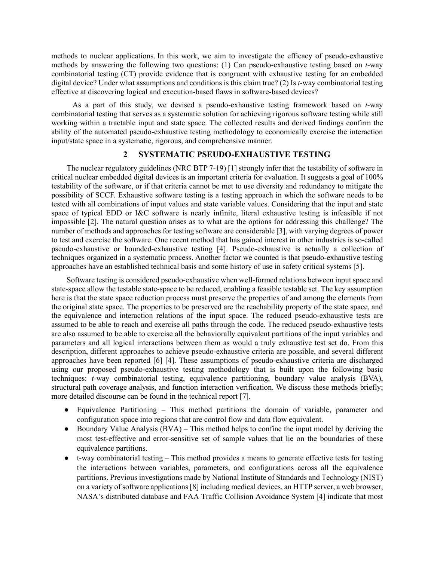methods to nuclear applications. In this work, we aim to investigate the efficacy of pseudo-exhaustive methods by answering the following two questions: (1) Can pseudo-exhaustive testing based on *t-*way combinatorial testing (CT) provide evidence that is congruent with exhaustive testing for an embedded digital device? Under what assumptions and conditions is this claim true? (2) Is *t-*way combinatorial testing effective at discovering logical and execution-based flaws in software-based devices?

 combinatorial testing that serves as a systematic solution for achieving rigorous software testing while still working within a tractable input and state space. The collected results and derived findings confirm the ability of the automated pseudo-exhaustive testing methodology to economically exercise the interaction As a part of this study, we devised a pseudo-exhaustive testing framework based on *t-*way input/state space in a systematic, rigorous, and comprehensive manner.

#### **2 SYSTEMATIC PSEUDO-EXHAUSTIVE TESTING**

 The nuclear regulatory guidelines (NRC BTP 7-19) [1] strongly infer that the testability of software in critical nuclear embedded digital devices is an important criteria for evaluation. It suggests a goal of 100% testability of the software, or if that criteria cannot be met to use diversity and redundancy to mitigate the possibility of SCCF. Exhaustive software testing is a testing approach in which the software needs to be tested with all combinations of input values and state variable values. Considering that the input and state space of typical EDD or I&C software is nearly infinite, literal exhaustive testing is infeasible if not impossible [2]. The natural question arises as to what are the options for addressing this challenge? The number of methods and approaches for testing software are considerable [3], with varying degrees of power to test and exercise the software. One recent method that has gained interest in other industries is so-called techniques organized in a systematic process. Another factor we counted is that pseudo-exhaustive testing approaches have an established technical basis and some history of use in safety critical systems [5]. pseudo-exhaustive or bounded-exhaustive testing [4]. Pseudo-exhaustive is actually a collection of

 Software testing is considered pseudo-exhaustive when well-formed relations between input space and state-space allow the testable state-space to be reduced, enabling a feasible testable set. The key assumption here is that the state space reduction process must preserve the properties of and among the elements from the original state space. The properties to be preserved are the reachability property of the state space, and the equivalence and interaction relations of the input space. The reduced pseudo-exhaustive tests are assumed to be able to reach and exercise all paths through the code. The reduced pseudo-exhaustive tests are also assumed to be able to exercise all the behaviorally equivalent partitions of the input variables and parameters and all logical interactions between them as would a truly exhaustive test set do. From this description, different approaches to achieve pseudo-exhaustive criteria are possible, and several different approaches have been reported [6] [4]. These assumptions of pseudo-exhaustive criteria are discharged using our proposed pseudo-exhaustive testing methodology that is built upon the following basic techniques: *t-*way combinatorial testing, equivalence partitioning, boundary value analysis (BVA), structural path coverage analysis, and function interaction verification. We discuss these methods briefly; more detailed discourse can be found in the technical report [7].

- ● Equivalence Partitioning This method partitions the domain of variable, parameter and configuration space into regions that are control flow and data flow equivalent.
- Boundary Value Analysis (BVA) This method helps to confine the input model by deriving the most test-effective and error-sensitive set of sample values that lie on the boundaries of these equivalence partitions.
- ● t-way combinatorial testing This method provides a means to generate effective tests for testing partitions. Previous investigations made by National Institute of Standards and Technology (NIST) on a variety of software applications [8] including medical devices, an HTTP server, a web browser, NASA's distributed database and FAA Traffic Collision Avoidance System [4] indicate that most the interactions between variables, parameters, and configurations across all the equivalence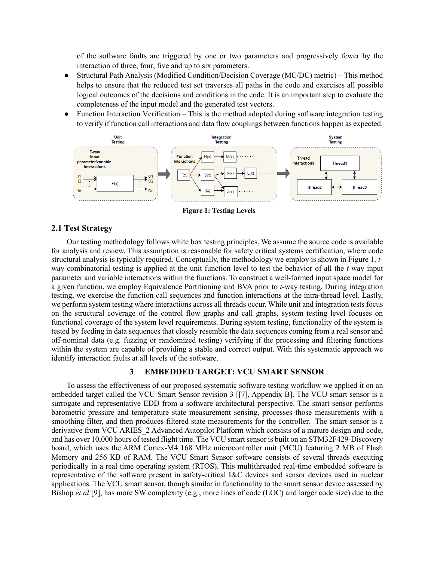of the software faults are triggered by one or two parameters and progressively fewer by the interaction of three, four, five and up to six parameters.

- ● Structural Path Analysis (Modified Condition/Decision Coverage (MC/DC) metric) This method helps to ensure that the reduced test set traverses all paths in the code and exercises all possible logical outcomes of the decisions and conditions in the code. It is an important step to evaluate the completeness of the input model and the generated test vectors.
- Function Interaction Verification This is the method adopted during software integration testing to verify if function call interactions and data flow couplings between functions happen as expected.



**Figure 1: Testing Levels** 

#### **2.1 Test Strategy**

 Our testing methodology follows white box testing principles. We assume the source code is available for analysis and review. This assumption is reasonable for safety critical systems certification, where code structural analysis is typically required. Conceptually, the methodology we employ is shown in Figure 1. *t-* way combinatorial testing is applied at the unit function level to test the behavior of all the *t-*way input parameter and variable interactions within the functions. To construct a well-formed input space model for a given function, we employ Equivalence Partitioning and BVA prior to *t-*way testing. During integration testing, we exercise the function call sequences and function interactions at the intra-thread level. Lastly, we perform system testing where interactions across all threads occur. While unit and integration tests focus on the structural coverage of the control flow graphs and call graphs, system testing level focuses on tested by feeding in data sequences that closely resemble the data sequences coming from a real sensor and off-nominal data (e.g. fuzzing or randomized testing) verifying if the processing and filtering functions within the system are capable of providing a stable and correct output. With this systematic approach we identify interaction faults at all levels of the software. functional coverage of the system level requirements. During system testing, functionality of the system is

## **3 EMBEDDED TARGET: VCU SMART SENSOR**

 To assess the effectiveness of our proposed systematic software testing workflow we applied it on an embedded target called the VCU Smart Sensor revision 3 [[7], Appendix B]. The VCU smart sensor is a surrogate and representative EDD from a software architectural perspective. The smart sensor performs barometric pressure and temperature state measurement sensing, processes those measurements with a smoothing filter, and then produces filtered state measurements for the controller. The smart sensor is a derivative from VCU ARIES\_2 Advanced Autopilot Platform which consists of a mature design and code, and has over 10,000 hours of tested flight time. The VCU smart sensor is built on an STM32F429-Discovery board, which uses the ARM Cortex-M4 168 MHz microcontroller unit (MCU) featuring 2 MB of Flash Memory and 256 KB of RAM. The VCU Smart Sensor software consists of several threads executing periodically in a real time operating system (RTOS). This multithreaded real-time embedded software is representative of the software present in safety-critical I&C devices and sensor devices used in nuclear applications. The VCU smart sensor, though similar in functionality to the smart sensor device assessed by Bishop *et al* [9], has more SW complexity (e.g., more lines of code (LOC) and larger code size) due to the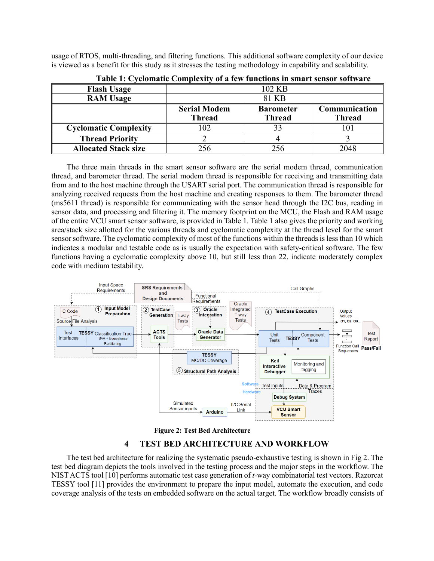usage of RTOS, multi-threading, and filtering functions. This additional software complexity of our device is viewed as a benefit for this study as it stresses the testing methodology in capability and scalability.

| <b>Flash Usage</b>           |                                      | 102 KB                            |                                |  |  |
|------------------------------|--------------------------------------|-----------------------------------|--------------------------------|--|--|
| <b>RAM Usage</b>             | 81 KB                                |                                   |                                |  |  |
|                              | <b>Serial Modem</b><br><b>Thread</b> | <b>Barometer</b><br><b>Thread</b> | Communication<br><b>Thread</b> |  |  |
| <b>Cyclomatic Complexity</b> | 102                                  |                                   |                                |  |  |
| <b>Thread Priority</b>       |                                      |                                   |                                |  |  |
| <b>Allocated Stack size</b>  | 256                                  |                                   | 2048                           |  |  |

|  |  |  |  |  |  | Table 1: Cyclomatic Complexity of a few functions in smart sensor software |  |
|--|--|--|--|--|--|----------------------------------------------------------------------------|--|
|--|--|--|--|--|--|----------------------------------------------------------------------------|--|

 The three main threads in the smart sensor software are the serial modem thread, communication thread, and barometer thread. The serial modem thread is responsible for receiving and transmitting data from and to the host machine through the USART serial port. The communication thread is responsible for analyzing received requests from the host machine and creating responses to them. The barometer thread (ms5611 thread) is responsible for communicating with the sensor head through the I2C bus, reading in sensor data, and processing and filtering it. The memory footprint on the MCU, the Flash and RAM usage of the entire VCU smart sensor software, is provided in Table 1. Table 1 also gives the priority and working area/stack size allotted for the various threads and cyclomatic complexity at the thread level for the smart sensor software. The cyclomatic complexity of most of the functions within the threads is less than 10 which indicates a modular and testable code as is usually the expectation with safety-critical software. The few functions having a cyclomatic complexity above 10, but still less than 22, indicate moderately complex code with medium testability.





## **4 TEST BED ARCHITECTURE AND WORKFLOW**

 The test bed architecture for realizing the systematic pseudo-exhaustive testing is shown in Fig 2. The test bed diagram depicts the tools involved in the testing process and the major steps in the workflow. The NIST ACTS tool [10] performs automatic test case generation of *t-*way combinatorial test vectors. Razorcat TESSY tool [11] provides the environment to prepare the input model, automate the execution, and code coverage analysis of the tests on embedded software on the actual target. The workflow broadly consists of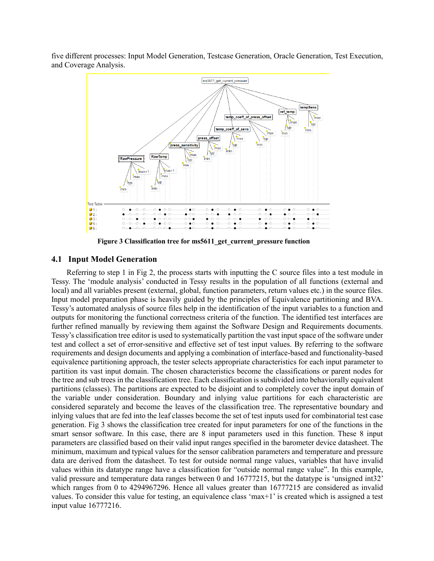five different processes: Input Model Generation, Testcase Generation, Oracle Generation, Test Execution, and Coverage Analysis.



**Figure 3 Classification tree for ms5611\_get\_current\_pressure function** 

## **4.1 Input Model Generation**

 Referring to step 1 in Fig 2, the process starts with inputting the C source files into a test module in Tessy. The 'module analysis' conducted in Tessy results in the population of all functions (external and local) and all variables present (external, global, function parameters, return values etc.) in the source files. Input model preparation phase is heavily guided by the principles of Equivalence partitioning and BVA. Tessy's automated analysis of source files help in the identification of the input variables to a function and outputs for monitoring the functional correctness criteria of the function. The identified test interfaces are further refined manually by reviewing them against the Software Design and Requirements documents. Tessy's classification tree editor is used to systematically partition the vast input space of the software under test and collect a set of error-sensitive and effective set of test input values. By referring to the software equivalence partitioning approach, the tester selects appropriate characteristics for each input parameter to partition its vast input domain. The chosen characteristics become the classifications or parent nodes for the tree and sub trees in the classification tree. Each classification is subdivided into behaviorally equivalent partitions (classes). The partitions are expected to be disjoint and to completely cover the input domain of the variable under consideration. Boundary and inlying value partitions for each characteristic are considered separately and become the leaves of the classification tree. The representative boundary and inlying values that are fed into the leaf classes become the set of test inputs used for combinatorial test case generation. Fig 3 shows the classification tree created for input parameters for one of the functions in the smart sensor software. In this case, there are 8 input parameters used in this function. These 8 input parameters are classified based on their valid input ranges specified in the barometer device datasheet. The minimum, maximum and typical values for the sensor calibration parameters and temperature and pressure data are derived from the datasheet. To test for outside normal range values, variables that have invalid values within its datatype range have a classification for "outside normal range value". In this example, valid pressure and temperature data ranges between 0 and 16777215, but the datatype is 'unsigned int32' which ranges from 0 to 4294967296. Hence all values greater than 16777215 are considered as invalid values. To consider this value for testing, an equivalence class 'max+1' is created which is assigned a test input value 16777216. requirements and design documents and applying a combination of interface-based and functionality-based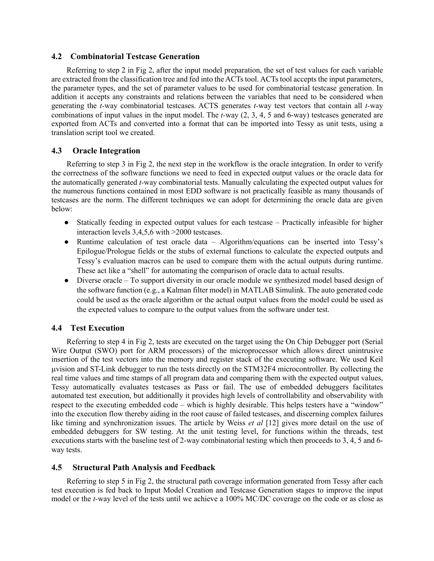### **4.2 Combinatorial Testcase Generation**

 Referring to step 2 in Fig 2, after the input model preparation, the set of test values for each variable the parameter types, and the set of parameter values to be used for combinatorial testcase generation. In addition it accepts any constraints and relations between the variables that need to be considered when combinations of input values in the input model. The *t-*way (2, 3, 4, 5 and 6-way) testcases generated are exported from ACTs and converted into a format that can be imported into Tessy as unit tests, using a are extracted from the classification tree and fed into the ACTs tool. ACTs tool accepts the input parameters, generating the *t-*way combinatorial testcases. ACTS generates *t-*way test vectors that contain all *t-*way translation script tool we created.

## **4.3 Oracle Integration**

 Referring to step 3 in Fig 2, the next step in the workflow is the oracle integration. In order to verify the correctness of the software functions we need to feed in expected output values or the oracle data for the automatically generated *t-*way combinatorial tests. Manually calculating the expected output values for the numerous functions contained in most EDD software is not practically feasible as many thousands of testcases are the norm. The different techniques we can adopt for determining the oracle data are given below:

- ● Statically feeding in expected output values for each testcase Practically infeasible for higher interaction levels 3,4,5,6 with >2000 testcases.
- ● Runtime calculation of test oracle data Algorithm/equations can be inserted into Tessy's Epilogue/Prologue fields or the stubs of external functions to calculate the expected outputs and Tessy's evaluation macros can be used to compare them with the actual outputs during runtime. These act like a "shell" for automating the comparison of oracle data to actual results.
- Diverse oracle To support diversity in our oracle module we synthesized model based design of the software function (e.g., a Kalman filter model) in MATLAB Simulink. The auto generated code could be used as the oracle algorithm or the actual output values from the model could be used as the expected values to compare to the output values from the software under test.

## **4.4 Test Execution**

 Referring to step 4 in Fig 2, tests are executed on the target using the On Chip Debugger port (Serial Wire Output (SWO) port for ARM processors) of the microprocessor which allows direct unintrusive insertion of the test vectors into the memory and register stack of the executing software. We used Keil µvision and ST-Link debugger to run the tests directly on the STM32F4 microcontroller. By collecting the real time values and time stamps of all program data and comparing them with the expected output values, Tessy automatically evaluates testcases as Pass or fail. The use of embedded debuggers facilitates automated test execution, but additionally it provides high levels of controllability and observability with respect to the executing embedded code – which is highly desirable. This helps testers have a "window" into the execution flow thereby aiding in the root cause of failed testcases, and discerning complex failures like timing and synchronization issues. The article by Weiss *et al* [12] gives more detail on the use of embedded debuggers for SW testing. At the unit testing level, for functions within the threads, test executions starts with the baseline test of 2-way combinatorial testing which then proceeds to 3, 4, 5 and 6 way tests.

## **4.5 Structural Path Analysis and Feedback**

 Referring to step 5 in Fig 2, the structural path coverage information generated from Tessy after each test execution is fed back to Input Model Creation and Testcase Generation stages to improve the input model or the *t-*way level of the tests until we achieve a 100% MC/DC coverage on the code or as close as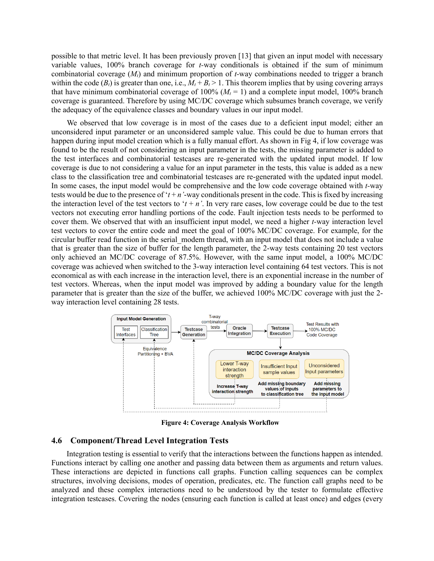possible to that metric level. It has been previously proven [13] that given an input model with necessary variable values, 100% branch coverage for *t-*way conditionals is obtained if the sum of minimum combinatorial coverage (*Mt*) and minimum proportion of *t-*way combinations needed to trigger a branch within the code  $(B_t)$  is greater than one, i.e.,  $M_t + B_t > 1$ . This theorem implies that by using covering arrays that have minimum combinatorial coverage of  $100\%$  ( $M_t = 1$ ) and a complete input model, 100% branch coverage is guaranteed. Therefore by using MC/DC coverage which subsumes branch coverage, we verify the adequacy of the equivalence classes and boundary values in our input model.

 unconsidered input parameter or an unconsidered sample value. This could be due to human errors that happen during input model creation which is a fully manual effort. As shown in Fig 4, if low coverage was found to be the result of not considering an input parameter in the tests, the missing parameter is added to the test interfaces and combinatorial testcases are re-generated with the updated input model. If low coverage is due to not considering a value for an input parameter in the tests, this value is added as a new class to the classification tree and combinatorial testcases are re-generated with the updated input model. In some cases, the input model would be comprehensive and the low code coverage obtained with *t-*way tests would be due to the presence of  $'t + n'$ -way conditionals present in the code. This is fixed by increasing the interaction level of the test vectors to ' $t + n$ '. In very rare cases, low coverage could be due to the test vectors not executing error handling portions of the code. Fault injection tests needs to be performed to cover them. We observed that with an insufficient input model, we need a higher *t-*way interaction level test vectors to cover the entire code and meet the goal of 100% MC/DC coverage. For example, for the circular buffer read function in the serial\_modem thread, with an input model that does not include a value that is greater than the size of buffer for the length parameter, the 2-way tests containing 20 test vectors only achieved an MC/DC coverage of 87.5%. However, with the same input model, a 100% MC/DC coverage was achieved when switched to the 3-way interaction level containing 64 test vectors. This is not economical as with each increase in the interaction level, there is an exponential increase in the number of test vectors. Whereas, when the input model was improved by adding a boundary value for the length parameter that is greater than the size of the buffer, we achieved 100% MC/DC coverage with just the 2- way interaction level containing 28 tests. We observed that low coverage is in most of the cases due to a deficient input model; either an



**Figure 4: Coverage Analysis Workflow** 

#### **4.6 Component/Thread Level Integration Tests**

 Integration testing is essential to verify that the interactions between the functions happen as intended. Functions interact by calling one another and passing data between them as arguments and return values. These interactions are depicted in functions call graphs. Function calling sequences can be complex structures, involving decisions, modes of operation, predicates, etc. The function call graphs need to be integration testcases. Covering the nodes (ensuring each function is called at least once) and edges (every analyzed and these complex interactions need to be understood by the tester to formulate effective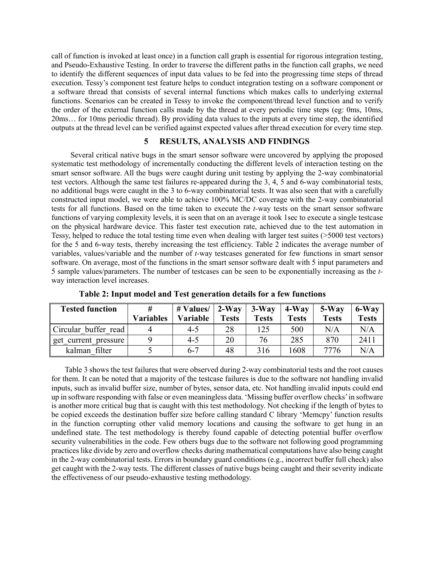call of function is invoked at least once) in a function call graph is essential for rigorous integration testing, and Pseudo-Exhaustive Testing. In order to traverse the different paths in the function call graphs, we need to identify the different sequences of input data values to be fed into the progressing time steps of thread execution. Tessy's component test feature helps to conduct integration testing on a software component or a software thread that consists of several internal functions which makes calls to underlying external the order of the external function calls made by the thread at every periodic time steps (eg: 0ms, 10ms, 20ms… for 10ms periodic thread). By providing data values to the inputs at every time step, the identified outputs at the thread level can be verified against expected values after thread execution for every time step. functions. Scenarios can be created in Tessy to invoke the component/thread level function and to verify

## **5 RESULTS, ANALYSIS AND FINDINGS**

 Several critical native bugs in the smart sensor software were uncovered by applying the proposed systematic test methodology of incrementally conducting the different levels of interaction testing on the smart sensor software. All the bugs were caught during unit testing by applying the 2-way combinatorial test vectors. Although the same test failures re-appeared during the 3, 4, 5 and 6-way combinatorial tests, no additional bugs were caught in the 3 to 6-way combinatorial tests. It was also seen that with a carefully constructed input model, we were able to achieve 100% MC/DC coverage with the 2-way combinatorial tests for all functions. Based on the time taken to execute the *t-*way tests on the smart sensor software functions of varying complexity levels, it is seen that on an average it took 1sec to execute a single testcase on the physical hardware device. This faster test execution rate, achieved due to the test automation in Tessy, helped to reduce the total testing time even when dealing with larger test suites (>5000 test vectors) for the 5 and 6-way tests, thereby increasing the test efficiency. Table 2 indicates the average number of variables, values/variable and the number of *t-*way testcases generated for few functions in smart sensor software. On average, most of the functions in the smart sensor software dealt with 5 input parameters and 5 sample values/parameters. The number of testcases can be seen to be exponentially increasing as the *t-*way interaction level increases.

| <b>Tested function</b> | <b>Variables</b> | # Values/<br>Variable | $2-Wav$<br><b>Tests</b> | $3-Wav$<br><b>Tests</b> | $4-Wav$<br><b>Tests</b> | $5-Wav$<br><b>Tests</b> | 6-Way<br><b>Tests</b> |
|------------------------|------------------|-----------------------|-------------------------|-------------------------|-------------------------|-------------------------|-----------------------|
| Circular buffer read   |                  | 4-5                   | 28                      | 125                     | 500                     | N/A                     | N/A                   |
| get current pressure   |                  | $4 - 5$               | 20                      | 76                      | 285                     | 870                     | 2411                  |
| kalman filter          |                  | $6 - 7$               | 48                      | 316                     | 1608                    | 7776                    | N/A                   |

**Table 2: Input model and Test generation details for a few functions** 

 for them. It can be noted that a majority of the testcase failures is due to the software not handling invalid inputs, such as invalid buffer size, number of bytes, sensor data, etc. Not handling invalid inputs could end up in software responding with false or even meaningless data. 'Missing buffer overflow checks'in software is another more critical bug that is caught with this test methodology. Not checking if the length of bytes to be copied exceeds the destination buffer size before calling standard C library 'Memcpy' function results in the function corrupting other valid memory locations and causing the software to get hung in an undefined state. The test methodology is thereby found capable of detecting potential buffer overflow security vulnerabilities in the code. Few others bugs due to the software not following good programming practices like divide by zero and overflow checks during mathematical computations have also being caught in the 2-way combinatorial tests. Errors in boundary guard conditions (e.g., incorrect buffer full check) also get caught with the 2-way tests. The different classes of native bugs being caught and their severity indicate Table 3 shows the test failures that were observed during 2-way combinatorial tests and the root causes the effectiveness of our pseudo-exhaustive testing methodology.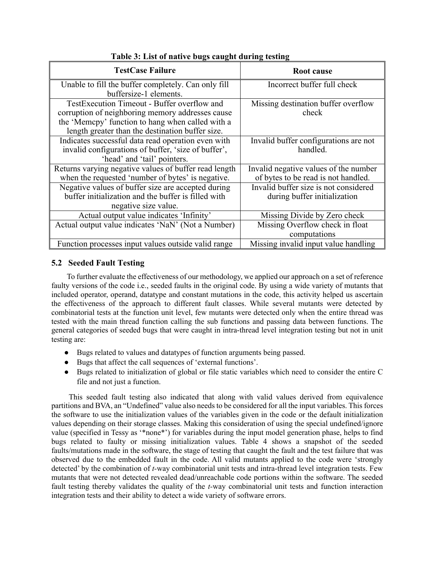| <b>TestCase Failure</b>                               | Root cause                            |
|-------------------------------------------------------|---------------------------------------|
| Unable to fill the buffer completely. Can only fill   | Incorrect buffer full check           |
| buffersize-1 elements.                                |                                       |
| TestExecution Timeout - Buffer overflow and           | Missing destination buffer overflow   |
| corruption of neighboring memory addresses cause      | check                                 |
| the 'Memcpy' function to hang when called with a      |                                       |
| length greater than the destination buffer size.      |                                       |
| Indicates successful data read operation even with    | Invalid buffer configurations are not |
| invalid configurations of buffer, 'size of buffer',   | handled.                              |
| 'head' and 'tail' pointers.                           |                                       |
| Returns varying negative values of buffer read length | Invalid negative values of the number |
| when the requested 'number of bytes' is negative.     | of bytes to be read is not handled.   |
| Negative values of buffer size are accepted during    | Invalid buffer size is not considered |
| buffer initialization and the buffer is filled with   | during buffer initialization          |
| negative size value.                                  |                                       |
| Actual output value indicates 'Infinity'              | Missing Divide by Zero check          |
| Actual output value indicates 'NaN' (Not a Number)    | Missing Overflow check in float       |
|                                                       | computations                          |
| Function processes input values outside valid range   | Missing invalid input value handling  |

## **Table 3: List of native bugs caught during testing**

## **5.2 Seeded Fault Testing**

 faulty versions of the code i.e., seeded faults in the original code. By using a wide variety of mutants that included operator, operand, datatype and constant mutations in the code, this activity helped us ascertain the effectiveness of the approach to different fault classes. While several mutants were detected by combinatorial tests at the function unit level, few mutants were detected only when the entire thread was tested with the main thread function calling the sub functions and passing data between functions. The general categories of seeded bugs that were caught in intra-thread level integration testing but not in unit To further evaluate the effectiveness of our methodology, we applied our approach on a set of reference testing are:

- Bugs related to values and datatypes of function arguments being passed.
- Bugs that affect the call sequences of 'external functions'.
- ● Bugs related to initialization of global or file static variables which need to consider the entire C file and not just a function.

 partitions and BVA, an "Undefined" value also needs to be considered for all the input variables. This forces the software to use the initialization values of the variables given in the code or the default initialization values depending on their storage classes. Making this consideration of using the special undefined/ignore value (specified in Tessy as '\*none\*') for variables during the input model generation phase, helps to find bugs related to faulty or missing initialization values. Table 4 shows a snapshot of the seeded faults/mutations made in the software, the stage of testing that caught the fault and the test failure that was observed due to the embedded fault in the code. All valid mutants applied to the code were 'strongly detected' by the combination of *t-*way combinatorial unit tests and intra-thread level integration tests. Few mutants that were not detected revealed dead/unreachable code portions within the software. The seeded fault testing thereby validates the quality of the *t-*way combinatorial unit tests and function interaction This seeded fault testing also indicated that along with valid values derived from equivalence integration tests and their ability to detect a wide variety of software errors.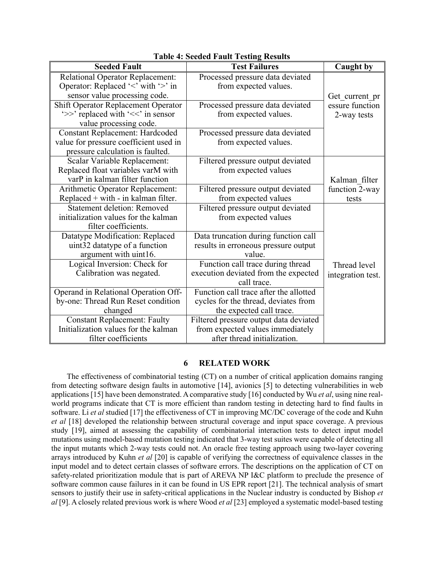| <b>Seeded Fault</b>                     | <b>Test Failures</b>                   | <b>Caught by</b>  |
|-----------------------------------------|----------------------------------------|-------------------|
| <b>Relational Operator Replacement:</b> | Processed pressure data deviated       |                   |
| Operator: Replaced '<' with '>' in      | from expected values.                  |                   |
| sensor value processing code.           |                                        | Get current pr    |
| Shift Operator Replacement Operator     | Processed pressure data deviated       | essure function   |
| '>>' replaced with '<<' in sensor       | from expected values.                  | 2-way tests       |
| value processing code.                  |                                        |                   |
| <b>Constant Replacement: Hardcoded</b>  | Processed pressure data deviated       |                   |
| value for pressure coefficient used in  | from expected values.                  |                   |
| pressure calculation is faulted.        |                                        |                   |
| Scalar Variable Replacement:            | Filtered pressure output deviated      |                   |
| Replaced float variables varM with      | from expected values                   |                   |
| varP in kalman filter function          |                                        | Kalman filter     |
| Arithmetic Operator Replacement:        | Filtered pressure output deviated      | function 2-way    |
| Replaced $+$ with $-$ in kalman filter. | from expected values                   | tests             |
| <b>Statement deletion: Removed</b>      | Filtered pressure output deviated      |                   |
| initialization values for the kalman    | from expected values                   |                   |
| filter coefficients.                    |                                        |                   |
| Datatype Modification: Replaced         | Data truncation during function call   |                   |
| uint32 datatype of a function           | results in erroneous pressure output   |                   |
| argument with uint16.                   | value.                                 |                   |
| Logical Inversion: Check for            | Function call trace during thread      | Thread level      |
| Calibration was negated.                | execution deviated from the expected   | integration test. |
|                                         | call trace.                            |                   |
| Operand in Relational Operation Off-    | Function call trace after the allotted |                   |
| by-one: Thread Run Reset condition      | cycles for the thread, deviates from   |                   |
| changed                                 | the expected call trace.               |                   |
| <b>Constant Replacement: Faulty</b>     | Filtered pressure output data deviated |                   |
| Initialization values for the kalman    | from expected values immediately       |                   |
| filter coefficients                     | after thread initialization.           |                   |

**Table 4: Seeded Fault Testing Results** 

## **6 RELATED WORK**

 from detecting software design faults in automotive [14], avionics [5] to detecting vulnerabilities in web applications [15] have been demonstrated. A comparative study [16] conducted by Wu *et al*, using nine real- world programs indicate that CT is more efficient than random testing in detecting hard to find faults in software. Li *et al* studied [17] the effectiveness of CT in improving MC/DC coverage of the code and Kuhn *et al* [18] developed the relationship between structural coverage and input space coverage. A previous study [19], aimed at assessing the capability of combinatorial interaction tests to detect input model mutations using model-based mutation testing indicated that 3-way test suites were capable of detecting all the input mutants which 2-way tests could not. An oracle free testing approach using two-layer covering arrays introduced by Kuhn *et al* [20] is capable of verifying the correctness of equivalence classes in the input model and to detect certain classes of software errors. The descriptions on the application of CT on safety-related prioritization module that is part of AREVA NP I&C platform to preclude the presence of software common cause failures in it can be found in US EPR report [21]. The technical analysis of smart sensors to justify their use in safety-critical applications in the Nuclear industry is conducted by Bishop *et al* [9]. A closely related previous work is where Wood *et al* [23] employed a systematic model-based testing The effectiveness of combinatorial testing (CT) on a number of critical application domains ranging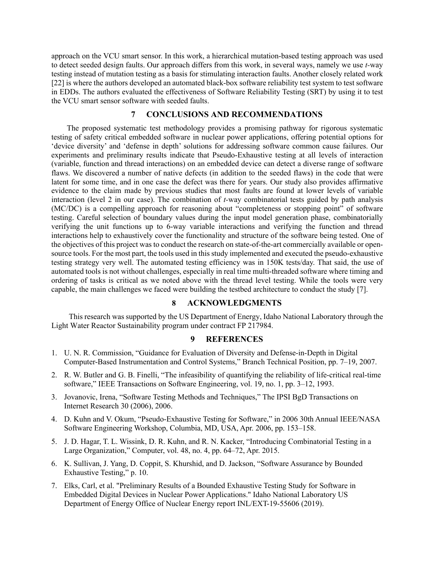approach on the VCU smart sensor. In this work, a hierarchical mutation-based testing approach was used to detect seeded design faults. Our approach differs from this work, in several ways, namely we use *t-*way testing instead of mutation testing as a basis for stimulating interaction faults. Another closely related work [22] is where the authors developed an automated black-box software reliability test system to test software in EDDs. The authors evaluated the effectiveness of Software Reliability Testing (SRT) by using it to test the VCU smart sensor software with seeded faults.

### **7 CONCLUSIONS AND RECOMMENDATIONS**

 testing of safety critical embedded software in nuclear power applications, offering potential options for 'device diversity' and 'defense in depth' solutions for addressing software common cause failures. Our experiments and preliminary results indicate that Pseudo-Exhaustive testing at all levels of interaction (variable, function and thread interactions) on an embedded device can detect a diverse range of software flaws. We discovered a number of native defects (in addition to the seeded flaws) in the code that were latent for some time, and in one case the defect was there for years. Our study also provides affirmative evidence to the claim made by previous studies that most faults are found at lower levels of variable interaction (level 2 in our case). The combination of *t-*way combinatorial tests guided by path analysis (MC/DC) is a compelling approach for reasoning about "completeness or stopping point" of software testing. Careful selection of boundary values during the input model generation phase, combinatorially verifying the unit functions up to 6-way variable interactions and verifying the function and thread interactions help to exhaustively cover the functionality and structure of the software being tested. One of the objectives of this project was to conduct the research on state-of-the-art commercially available or open- source tools. For the most part, the tools used in this study implemented and executed the pseudo-exhaustive testing strategy very well. The automated testing efficiency was in 150K tests/day. That said, the use of automated tools is not without challenges, especially in real time multi-threaded software where timing and ordering of tasks is critical as we noted above with the thread level testing. While the tools were very capable, the main challenges we faced were building the testbed architecture to conduct the study [7]. The proposed systematic test methodology provides a promising pathway for rigorous systematic

#### **8 ACKNOWLEDGMENTS**

 Light Water Reactor Sustainability program under contract FP 217984. This research was supported by the US Department of Energy, Idaho National Laboratory through the

## **9 REFERENCES**

- 1. U. N. R. Commission, "Guidance for Evaluation of Diversity and Defense-in-Depth in Digital Computer-Based Instrumentation and Control Systems," Branch Technical Position, pp. 7–19, 2007.
- 2. R. W. Butler and G. B. Finelli, "The infeasibility of quantifying the reliability of life-critical real-time software," IEEE Transactions on Software Engineering, vol. 19, no. 1, pp. 3–12, 1993.
- 3. Jovanovic, Irena, "Software Testing Methods and Techniques," The IPSI BgD Transactions on Internet Research 30 (2006), 2006.
- 4. D. Kuhn and V. Okum, "Pseudo-Exhaustive Testing for Software," in 2006 30th Annual IEEE/NASA Software Engineering Workshop, Columbia, MD, USA, Apr. 2006, pp. 153–158.
- Large Organization," Computer, vol. 48, no. 4, pp. 64–72, Apr. 2015. 5. J. D. Hagar, T. L. Wissink, D. R. Kuhn, and R. N. Kacker, "Introducing Combinatorial Testing in a
- 6. K. Sullivan, J. Yang, D. Coppit, S. Khurshid, and D. Jackson, "Software Assurance by Bounded Exhaustive Testing," p. 10.
- 7. Elks, Carl, et al. "Preliminary Results of a Bounded Exhaustive Testing Study for Software in Embedded Digital Devices in Nuclear Power Applications." Idaho National Laboratory US Department of Energy Office of Nuclear Energy report INL/EXT-19-55606 (2019).